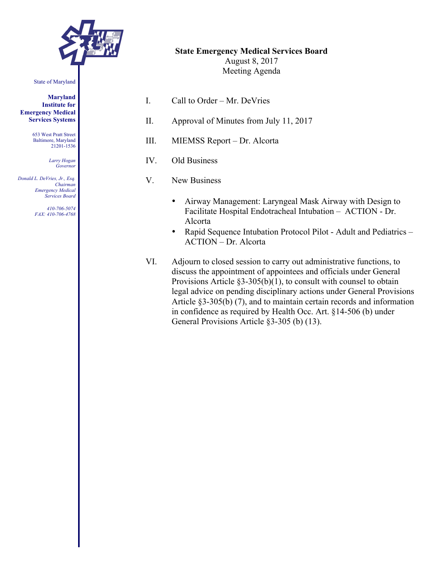

#### State of Maryland

**Maryland Institute for Emergency Medical Services Systems**

> 653 West Pratt Street Baltimore, Maryland 21201-1536

> > *Larry Hogan Governor*

*Donald L. DeVries, Jr., Esq. Chairman Emergency Medical Services Board*

> *410-706-5074 FAX: 410-706-4768*

| I.   | Call to Order – Mr. DeVries                                                                                                                                                                                                                                    |
|------|----------------------------------------------------------------------------------------------------------------------------------------------------------------------------------------------------------------------------------------------------------------|
| П.   | Approval of Minutes from July 11, 2017                                                                                                                                                                                                                         |
| III. | MIEMSS Report – Dr. Alcorta                                                                                                                                                                                                                                    |
| IV.  | Old Business                                                                                                                                                                                                                                                   |
| V.   | New Business                                                                                                                                                                                                                                                   |
|      | Airway Management: Laryngeal Mask Airway with Design to<br>$\bullet$<br>Facilitate Hospital Endotracheal Intubation - ACTION - Dr.<br>Alcorta<br>Rapid Sequence Intubation Protocol Pilot - Adult and Pediatrics –<br>$\bullet$<br><b>ACTION</b> – Dr. Alcorta |

**State Emergency Medical Services Board** August 8, 2017 Meeting Agenda

VI. Adjourn to closed session to carry out administrative functions, to discuss the appointment of appointees and officials under General Provisions Article §3-305(b)(1), to consult with counsel to obtain legal advice on pending disciplinary actions under General Provisions Article §3-305(b) (7), and to maintain certain records and information in confidence as required by Health Occ. Art. §14-506 (b) under General Provisions Article §3-305 (b) (13).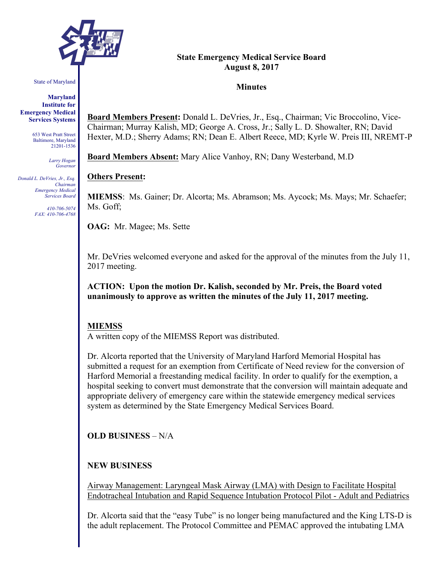

State of Maryland

**Maryland Institute for Emergency Medical Services Systems**

> 653 West Pratt Street Baltimore, Maryland 21201-1536

> > *Larry Hogan Governor*

*Donald L. DeVries, Jr., Esq. Chairman Emergency Medical Services Board*

> *410-706-5074 FAX: 410-706-4768*

#### **State Emergency Medical Service Board August 8, 2017**

## **Minutes**

**Board Members Present:** Donald L. DeVries, Jr., Esq., Chairman; Vic Broccolino, Vice-Chairman; Murray Kalish, MD; George A. Cross, Jr.; Sally L. D. Showalter, RN; David Hexter, M.D.; Sherry Adams; RN; Dean E. Albert Reece, MD; Kyrle W. Preis III, NREMT-P

**Board Members Absent:** Mary Alice Vanhoy, RN; Dany Westerband, M.D

## **Others Present:**

**MIEMSS**: Ms. Gainer; Dr. Alcorta; Ms. Abramson; Ms. Aycock; Ms. Mays; Mr. Schaefer; Ms. Goff;

**OAG:** Mr. Magee; Ms. Sette

Mr. DeVries welcomed everyone and asked for the approval of the minutes from the July 11, 2017 meeting.

**ACTION: Upon the motion Dr. Kalish, seconded by Mr. Preis, the Board voted unanimously to approve as written the minutes of the July 11, 2017 meeting.**

## **MIEMSS**

A written copy of the MIEMSS Report was distributed.

Dr. Alcorta reported that the University of Maryland Harford Memorial Hospital has submitted a request for an exemption from Certificate of Need review for the conversion of Harford Memorial a freestanding medical facility. In order to qualify for the exemption, a hospital seeking to convert must demonstrate that the conversion will maintain adequate and appropriate delivery of emergency care within the statewide emergency medical services system as determined by the State Emergency Medical Services Board.

**OLD BUSINESS** – N/A

## **NEW BUSINESS**

Airway Management: Laryngeal Mask Airway (LMA) with Design to Facilitate Hospital Endotracheal Intubation and Rapid Sequence Intubation Protocol Pilot - Adult and Pediatrics

Dr. Alcorta said that the "easy Tube" is no longer being manufactured and the King LTS-D is the adult replacement. The Protocol Committee and PEMAC approved the intubating LMA